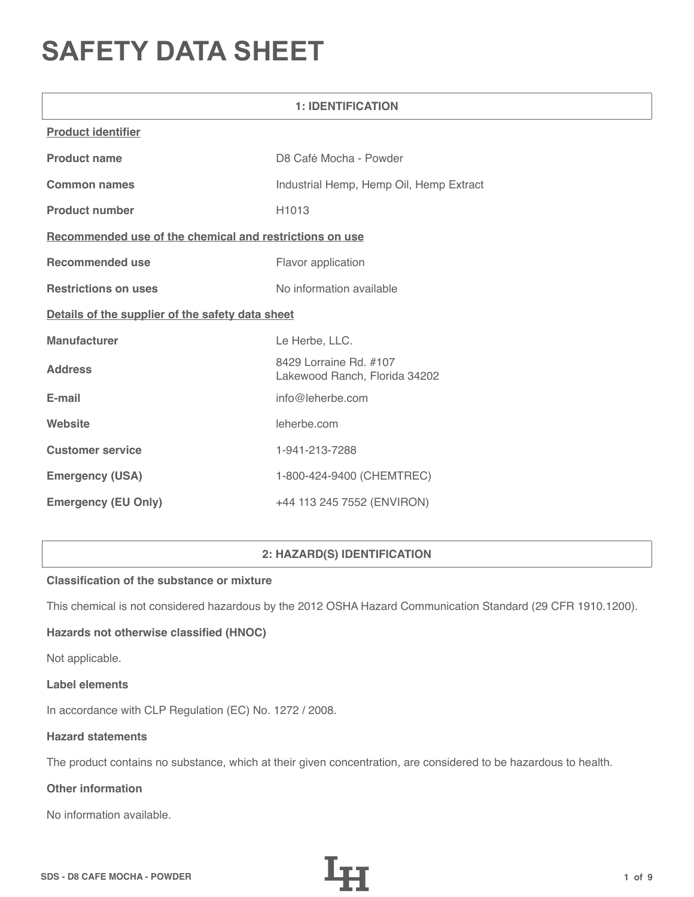# **SAFETY DATA SHEET**

| <b>1: IDENTIFICATION</b>                                |                                                         |  |
|---------------------------------------------------------|---------------------------------------------------------|--|
| <b>Product identifier</b>                               |                                                         |  |
| <b>Product name</b>                                     | D8 Café Mocha - Powder                                  |  |
| <b>Common names</b>                                     | Industrial Hemp, Hemp Oil, Hemp Extract                 |  |
| <b>Product number</b>                                   | H1013                                                   |  |
| Recommended use of the chemical and restrictions on use |                                                         |  |
| <b>Recommended use</b>                                  | Flavor application                                      |  |
| <b>Restrictions on uses</b>                             | No information available                                |  |
| Details of the supplier of the safety data sheet        |                                                         |  |
| Manufacturer                                            | Le Herbe, LLC.                                          |  |
| <b>Address</b>                                          | 8429 Lorraine Rd. #107<br>Lakewood Ranch, Florida 34202 |  |
| E-mail                                                  | info@leherbe.com                                        |  |
| Website                                                 | leherbe.com                                             |  |
| <b>Customer service</b>                                 | 1-941-213-7288                                          |  |
| <b>Emergency (USA)</b>                                  | 1-800-424-9400 (CHEMTREC)                               |  |
| <b>Emergency (EU Only)</b>                              | +44 113 245 7552 (ENVIRON)                              |  |

# **2: HAZARD(S) IDENTIFICATION**

# **Classification of the substance or mixture**

This chemical is not considered hazardous by the 2012 OSHA Hazard Communication Standard (29 CFR 1910.1200).

# **Hazards not otherwise classified (HNOC)**

Not applicable.

#### **Label elements**

In accordance with CLP Regulation (EC) No. 1272 / 2008.

## **Hazard statements**

The product contains no substance, which at their given concentration, are considered to be hazardous to health.

# **Other information**

No information available.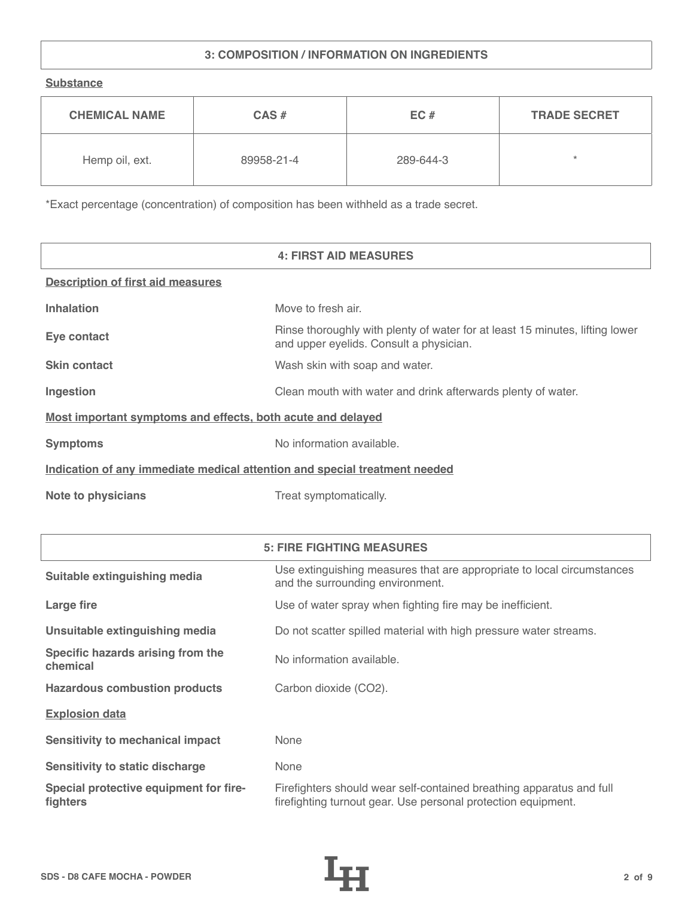# **3: COMPOSITION / INFORMATION ON INGREDIENTS**

**Substance**

| <b>CHEMICAL NAME</b> | $CAS \#$   | EC#       | <b>TRADE SECRET</b> |
|----------------------|------------|-----------|---------------------|
| Hemp oil, ext.       | 89958-21-4 | 289-644-3 | ÷                   |

\*Exact percentage (concentration) of composition has been withheld as a trade secret.

|                                                                            | <b>4: FIRST AID MEASURES</b>                                                                                            |
|----------------------------------------------------------------------------|-------------------------------------------------------------------------------------------------------------------------|
| <b>Description of first aid measures</b>                                   |                                                                                                                         |
| <b>Inhalation</b>                                                          | Move to fresh air.                                                                                                      |
| Eye contact                                                                | Rinse thoroughly with plenty of water for at least 15 minutes, lifting lower<br>and upper eyelids. Consult a physician. |
| <b>Skin contact</b>                                                        | Wash skin with soap and water.                                                                                          |
| Ingestion                                                                  | Clean mouth with water and drink afterwards plenty of water.                                                            |
| Most important symptoms and effects, both acute and delayed                |                                                                                                                         |
| <b>Symptoms</b>                                                            | No information available.                                                                                               |
| Indication of any immediate medical attention and special treatment needed |                                                                                                                         |
| <b>Note to physicians</b>                                                  | Treat symptomatically.                                                                                                  |

| <b>5: FIRE FIGHTING MEASURES</b>                   |                                                                                                                                       |  |
|----------------------------------------------------|---------------------------------------------------------------------------------------------------------------------------------------|--|
| Suitable extinguishing media                       | Use extinguishing measures that are appropriate to local circumstances<br>and the surrounding environment.                            |  |
| Large fire                                         | Use of water spray when fighting fire may be inefficient.                                                                             |  |
| Unsuitable extinguishing media                     | Do not scatter spilled material with high pressure water streams.                                                                     |  |
| Specific hazards arising from the<br>chemical      | No information available.                                                                                                             |  |
| <b>Hazardous combustion products</b>               | Carbon dioxide (CO2).                                                                                                                 |  |
| <b>Explosion data</b>                              |                                                                                                                                       |  |
| <b>Sensitivity to mechanical impact</b>            | None                                                                                                                                  |  |
| <b>Sensitivity to static discharge</b>             | None                                                                                                                                  |  |
| Special protective equipment for fire-<br>fighters | Firefighters should wear self-contained breathing apparatus and full<br>firefighting turnout gear. Use personal protection equipment. |  |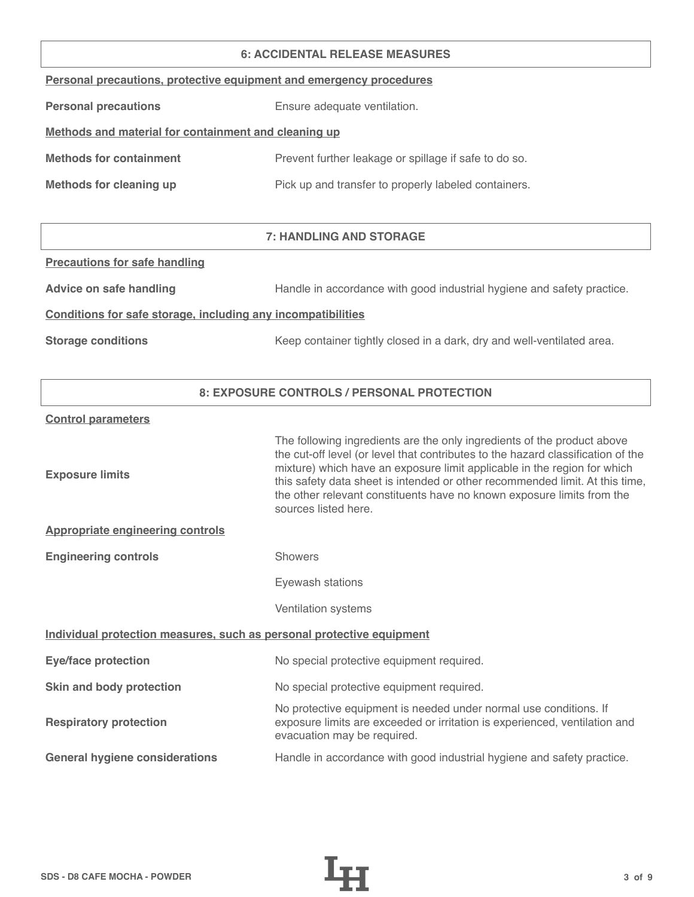#### **6: ACCIDENTAL RELEASE MEASURES**

|  |  | Personal precautions, protective equipment and emergency procedures |  |
|--|--|---------------------------------------------------------------------|--|
|  |  |                                                                     |  |

**Personal precautions** Ensure adequate ventilation.

# **Methods and material for containment and cleaning up**

| <b>Methods for containment</b> | Prevent further leakage or spillage if safe to do so. |
|--------------------------------|-------------------------------------------------------|
|                                |                                                       |

**Methods for cleaning up Pick up and transfer to properly labeled containers.** 

# **7: HANDLING AND STORAGE**

## **Precautions for safe handling**

Advice on safe handling **Handle in accordance with good industrial hygiene and safety practice.** 

## **Conditions for safe storage, including any incompatibilities**

**Storage conditions** Keep container tightly closed in a dark, dry and well-ventilated area.

# **8: EXPOSURE CONTROLS / PERSONAL PROTECTION**

#### **Control parameters**

| <b>Exposure limits</b>                                                | The following ingredients are the only ingredients of the product above<br>the cut-off level (or level that contributes to the hazard classification of the<br>mixture) which have an exposure limit applicable in the region for which<br>this safety data sheet is intended or other recommended limit. At this time,<br>the other relevant constituents have no known exposure limits from the<br>sources listed here. |
|-----------------------------------------------------------------------|---------------------------------------------------------------------------------------------------------------------------------------------------------------------------------------------------------------------------------------------------------------------------------------------------------------------------------------------------------------------------------------------------------------------------|
| <b>Appropriate engineering controls</b>                               |                                                                                                                                                                                                                                                                                                                                                                                                                           |
| <b>Engineering controls</b>                                           | <b>Showers</b>                                                                                                                                                                                                                                                                                                                                                                                                            |
|                                                                       | Eyewash stations                                                                                                                                                                                                                                                                                                                                                                                                          |
|                                                                       | Ventilation systems                                                                                                                                                                                                                                                                                                                                                                                                       |
| Individual protection measures, such as personal protective equipment |                                                                                                                                                                                                                                                                                                                                                                                                                           |
| <b>Eye/face protection</b>                                            | No special protective equipment required.                                                                                                                                                                                                                                                                                                                                                                                 |
| Skin and body protection                                              | No special protective equipment required.                                                                                                                                                                                                                                                                                                                                                                                 |
| <b>Respiratory protection</b>                                         | No protective equipment is needed under normal use conditions. If<br>exposure limits are exceeded or irritation is experienced, ventilation and<br>evacuation may be required.                                                                                                                                                                                                                                            |
| <b>General hygiene considerations</b>                                 | Handle in accordance with good industrial hygiene and safety practice.                                                                                                                                                                                                                                                                                                                                                    |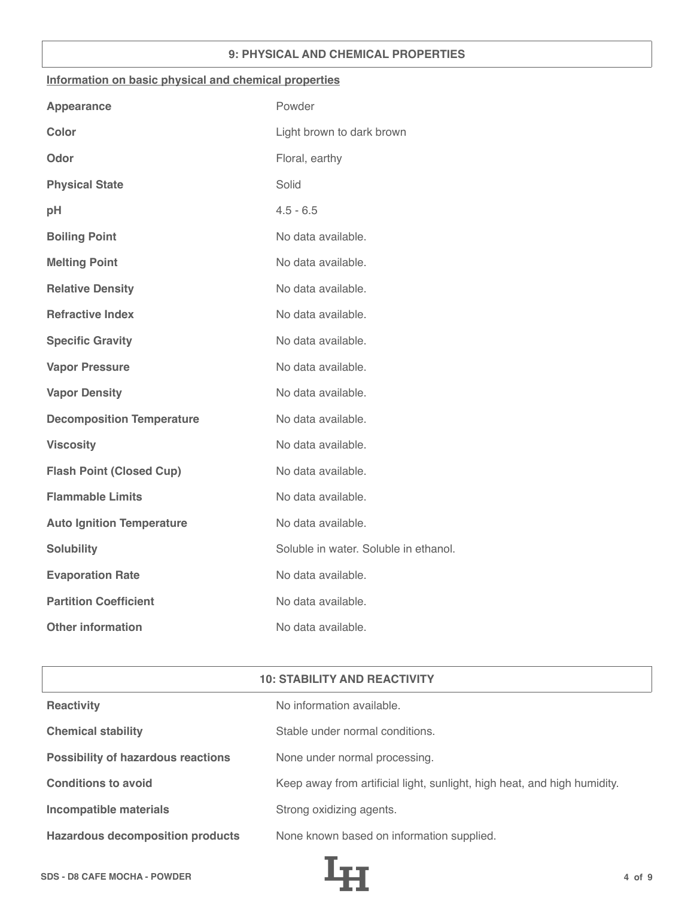## **9: PHYSICAL AND CHEMICAL PROPERTIES**

#### **Information on basic physical and chemical properties**

| <b>Appearance</b>                | Powder                                |
|----------------------------------|---------------------------------------|
| <b>Color</b>                     | Light brown to dark brown             |
| Odor                             | Floral, earthy                        |
| <b>Physical State</b>            | Solid                                 |
| pH                               | $4.5 - 6.5$                           |
| <b>Boiling Point</b>             | No data available.                    |
| <b>Melting Point</b>             | No data available.                    |
| <b>Relative Density</b>          | No data available.                    |
| <b>Refractive Index</b>          | No data available.                    |
| <b>Specific Gravity</b>          | No data available.                    |
| <b>Vapor Pressure</b>            | No data available.                    |
| <b>Vapor Density</b>             | No data available.                    |
| <b>Decomposition Temperature</b> | No data available.                    |
| <b>Viscosity</b>                 | No data available.                    |
| <b>Flash Point (Closed Cup)</b>  | No data available.                    |
| <b>Flammable Limits</b>          | No data available.                    |
| <b>Auto Ignition Temperature</b> | No data available.                    |
| <b>Solubility</b>                | Soluble in water. Soluble in ethanol. |
| <b>Evaporation Rate</b>          | No data available.                    |
| <b>Partition Coefficient</b>     | No data available.                    |
| <b>Other information</b>         | No data available.                    |

| <b>10: STABILITY AND REACTIVITY</b>       |                                                                          |  |
|-------------------------------------------|--------------------------------------------------------------------------|--|
| <b>Reactivity</b>                         | No information available.                                                |  |
| <b>Chemical stability</b>                 | Stable under normal conditions.                                          |  |
| <b>Possibility of hazardous reactions</b> | None under normal processing.                                            |  |
| <b>Conditions to avoid</b>                | Keep away from artificial light, sunlight, high heat, and high humidity. |  |
| <b>Incompatible materials</b>             | Strong oxidizing agents.                                                 |  |
| <b>Hazardous decomposition products</b>   | None known based on information supplied.                                |  |

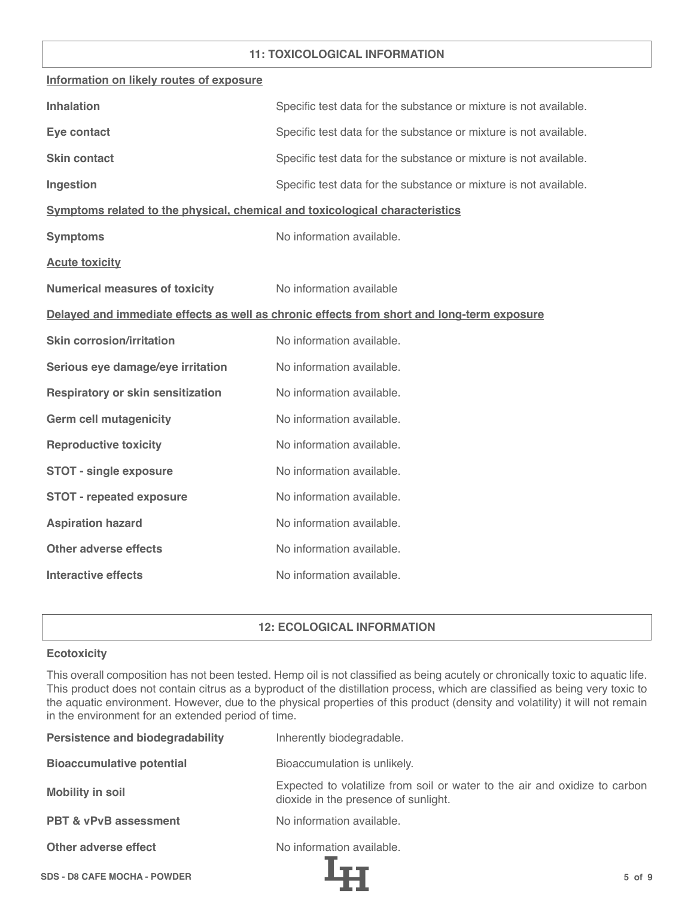## **11: TOXICOLOGICAL INFORMATION**

| Information on likely routes of exposure                                     |                                                                                            |
|------------------------------------------------------------------------------|--------------------------------------------------------------------------------------------|
| <b>Inhalation</b>                                                            | Specific test data for the substance or mixture is not available.                          |
| Eye contact                                                                  | Specific test data for the substance or mixture is not available.                          |
| <b>Skin contact</b>                                                          | Specific test data for the substance or mixture is not available.                          |
| Ingestion                                                                    | Specific test data for the substance or mixture is not available.                          |
| Symptoms related to the physical, chemical and toxicological characteristics |                                                                                            |
| <b>Symptoms</b>                                                              | No information available.                                                                  |
| <b>Acute toxicity</b>                                                        |                                                                                            |
| <b>Numerical measures of toxicity</b>                                        | No information available                                                                   |
|                                                                              | Delayed and immediate effects as well as chronic effects from short and long-term exposure |
| <b>Skin corrosion/irritation</b>                                             | No information available.                                                                  |
| Serious eye damage/eye irritation                                            | No information available.                                                                  |
| <b>Respiratory or skin sensitization</b>                                     | No information available.                                                                  |
| <b>Germ cell mutagenicity</b>                                                | No information available.                                                                  |
| <b>Reproductive toxicity</b>                                                 | No information available.                                                                  |
| <b>STOT - single exposure</b>                                                | No information available.                                                                  |
| <b>STOT - repeated exposure</b>                                              | No information available.                                                                  |
| <b>Aspiration hazard</b>                                                     | No information available.                                                                  |
| <b>Other adverse effects</b>                                                 | No information available.                                                                  |
| <b>Interactive effects</b>                                                   | No information available.                                                                  |

# **12: ECOLOGICAL INFORMATION**

## **Ecotoxicity**

This overall composition has not been tested. Hemp oil is not classified as being acutely or chronically toxic to aquatic life. This product does not contain citrus as a byproduct of the distillation process, which are classified as being very toxic to the aquatic environment. However, due to the physical properties of this product (density and volatility) it will not remain in the environment for an extended period of time.

| <b>Persistence and biodegradability</b> | Inherently biodegradable.                                                                                          |
|-----------------------------------------|--------------------------------------------------------------------------------------------------------------------|
| <b>Bioaccumulative potential</b>        | Bioaccumulation is unlikely.                                                                                       |
| <b>Mobility in soil</b>                 | Expected to volatilize from soil or water to the air and oxidize to carbon<br>dioxide in the presence of sunlight. |
| <b>PBT &amp; vPvB assessment</b>        | No information available.                                                                                          |
| Other adverse effect                    | No information available.                                                                                          |
| <b>SDS - D8 CAFE MOCHA - POWDER</b>     | $5$ of $9$                                                                                                         |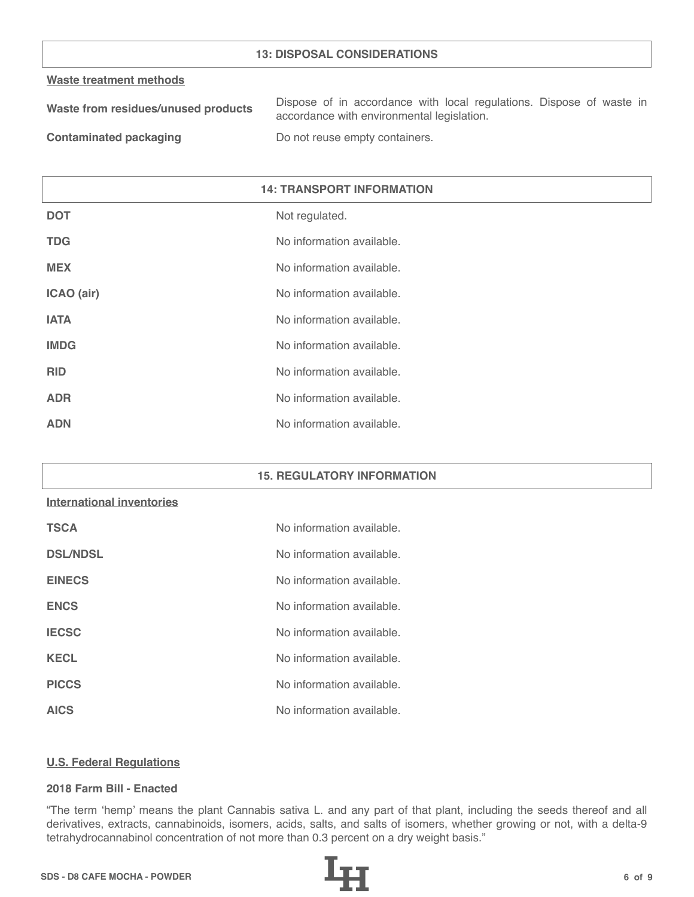## **13: DISPOSAL CONSIDERATIONS**

#### **Waste treatment methods**

| Waste from residues/unused products | Dispose of in accordance with local regulations. Dispose of waste in |
|-------------------------------------|----------------------------------------------------------------------|
|                                     | accordance with environmental legislation.                           |
| .                                   |                                                                      |

**Contaminated packaging The Contaminated packaging Containers.** 

| <b>14: TRANSPORT INFORMATION</b> |                           |
|----------------------------------|---------------------------|
| <b>DOT</b>                       | Not regulated.            |
| <b>TDG</b>                       | No information available. |
| <b>MEX</b>                       | No information available. |
| ICAO (air)                       | No information available. |
| <b>IATA</b>                      | No information available. |
| <b>IMDG</b>                      | No information available. |
| <b>RID</b>                       | No information available. |
| <b>ADR</b>                       | No information available. |
| <b>ADN</b>                       | No information available. |

#### **15. REGULATORY INFORMATION**

# **International inventories**

| <b>TSCA</b>     | No information available. |
|-----------------|---------------------------|
| <b>DSL/NDSL</b> | No information available. |
| <b>EINECS</b>   | No information available. |
| <b>ENCS</b>     | No information available. |
| <b>IECSC</b>    | No information available. |
| <b>KECL</b>     | No information available. |
| <b>PICCS</b>    | No information available. |
| <b>AICS</b>     | No information available. |

#### **U.S. Federal Regulations**

## **2018 Farm Bill - Enacted**

"The term 'hemp' means the plant Cannabis sativa L. and any part of that plant, including the seeds thereof and all derivatives, extracts, cannabinoids, isomers, acids, salts, and salts of isomers, whether growing or not, with a delta-9 tetrahydrocannabinol concentration of not more than 0.3 percent on a dry weight basis."

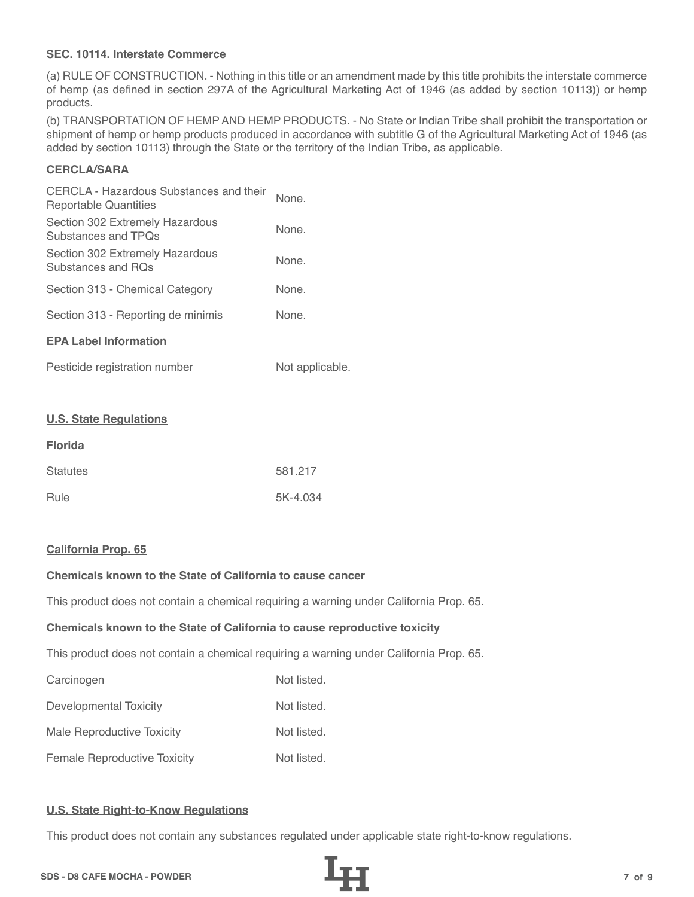## **SEC. 10114. Interstate Commerce**

(a) RULE OF CONSTRUCTION. - Nothing in this title or an amendment made by this title prohibits the interstate commerce of hemp (as defined in section 297A of the Agricultural Marketing Act of 1946 (as added by section 10113)) or hemp products.

(b) TRANSPORTATION OF HEMP AND HEMP PRODUCTS. - No State or Indian Tribe shall prohibit the transportation or shipment of hemp or hemp products produced in accordance with subtitle G of the Agricultural Marketing Act of 1946 (as added by section 10113) through the State or the territory of the Indian Tribe, as applicable.

# **CERCLA/SARA**

| CERCLA - Hazardous Substances and their<br>Reportable Quantities | None. |
|------------------------------------------------------------------|-------|
| Section 302 Extremely Hazardous<br>Substances and TPOs           | None. |
| Section 302 Extremely Hazardous<br>Substances and ROs            | None. |
| Section 313 - Chemical Category                                  | None. |
| Section 313 - Reporting de minimis                               | None. |
| <b>EPA Label Information</b>                                     |       |
|                                                                  |       |

| Pesticide registration number | Not applicable. |
|-------------------------------|-----------------|
|-------------------------------|-----------------|

#### **U.S. State Regulations**

| <b>Florida</b>  |          |
|-----------------|----------|
| <b>Statutes</b> | 581.217  |
| Rule            | 5K-4.034 |

#### **California Prop. 65**

# **Chemicals known to the State of California to cause cancer**

This product does not contain a chemical requiring a warning under California Prop. 65.

#### **Chemicals known to the State of California to cause reproductive toxicity**

This product does not contain a chemical requiring a warning under California Prop. 65.

| Carcinogen                          | Not listed. |
|-------------------------------------|-------------|
| Developmental Toxicity              | Not listed. |
| Male Reproductive Toxicity          | Not listed. |
| <b>Female Reproductive Toxicity</b> | Not listed. |

#### **U.S. State Right-to-Know Regulations**

This product does not contain any substances regulated under applicable state right-to-know regulations.

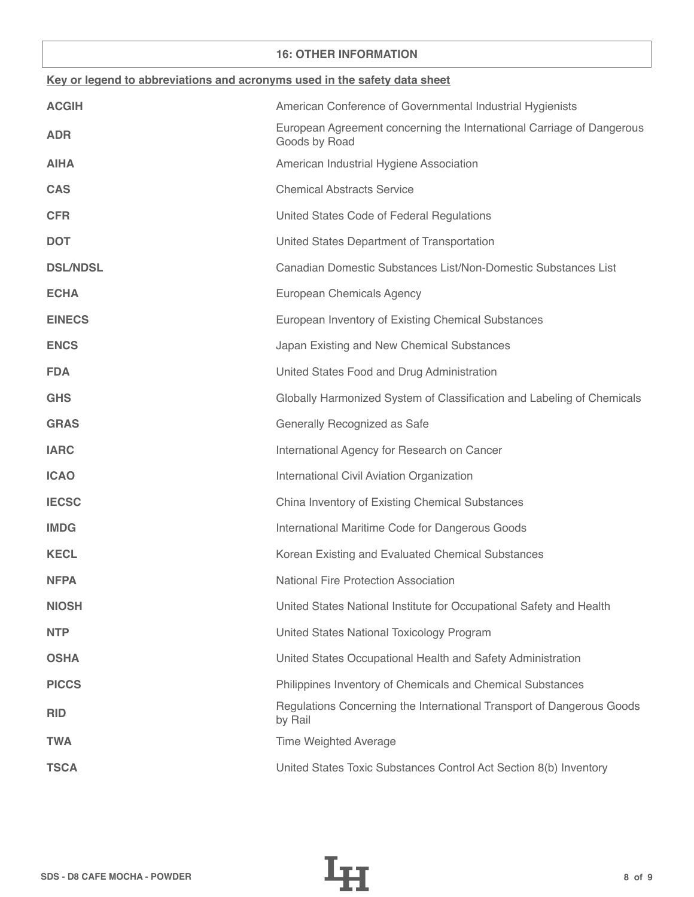## **16: OTHER INFORMATION**

| Key or legend to abbreviations and acronyms used in the safety data sheet |                                                                                        |  |
|---------------------------------------------------------------------------|----------------------------------------------------------------------------------------|--|
| <b>ACGIH</b>                                                              | American Conference of Governmental Industrial Hygienists                              |  |
| <b>ADR</b>                                                                | European Agreement concerning the International Carriage of Dangerous<br>Goods by Road |  |
| <b>AIHA</b>                                                               | American Industrial Hygiene Association                                                |  |
| <b>CAS</b>                                                                | <b>Chemical Abstracts Service</b>                                                      |  |
| <b>CFR</b>                                                                | United States Code of Federal Regulations                                              |  |
| <b>DOT</b>                                                                | United States Department of Transportation                                             |  |
| <b>DSL/NDSL</b>                                                           | Canadian Domestic Substances List/Non-Domestic Substances List                         |  |
| <b>ECHA</b>                                                               | European Chemicals Agency                                                              |  |
| <b>EINECS</b>                                                             | European Inventory of Existing Chemical Substances                                     |  |
| <b>ENCS</b>                                                               | Japan Existing and New Chemical Substances                                             |  |
| <b>FDA</b>                                                                | United States Food and Drug Administration                                             |  |
| <b>GHS</b>                                                                | Globally Harmonized System of Classification and Labeling of Chemicals                 |  |
| <b>GRAS</b>                                                               | Generally Recognized as Safe                                                           |  |
| <b>IARC</b>                                                               | International Agency for Research on Cancer                                            |  |
| <b>ICAO</b>                                                               | International Civil Aviation Organization                                              |  |
| <b>IECSC</b>                                                              | China Inventory of Existing Chemical Substances                                        |  |
| <b>IMDG</b>                                                               | International Maritime Code for Dangerous Goods                                        |  |
| <b>KECL</b>                                                               | Korean Existing and Evaluated Chemical Substances                                      |  |
| <b>NFPA</b>                                                               | National Fire Protection Association                                                   |  |
| <b>NIOSH</b>                                                              | United States National Institute for Occupational Safety and Health                    |  |
| <b>NTP</b>                                                                | United States National Toxicology Program                                              |  |
| <b>OSHA</b>                                                               | United States Occupational Health and Safety Administration                            |  |
| <b>PICCS</b>                                                              | Philippines Inventory of Chemicals and Chemical Substances                             |  |
| <b>RID</b>                                                                | Regulations Concerning the International Transport of Dangerous Goods<br>by Rail       |  |
| <b>TWA</b>                                                                | <b>Time Weighted Average</b>                                                           |  |
| <b>TSCA</b>                                                               | United States Toxic Substances Control Act Section 8(b) Inventory                      |  |